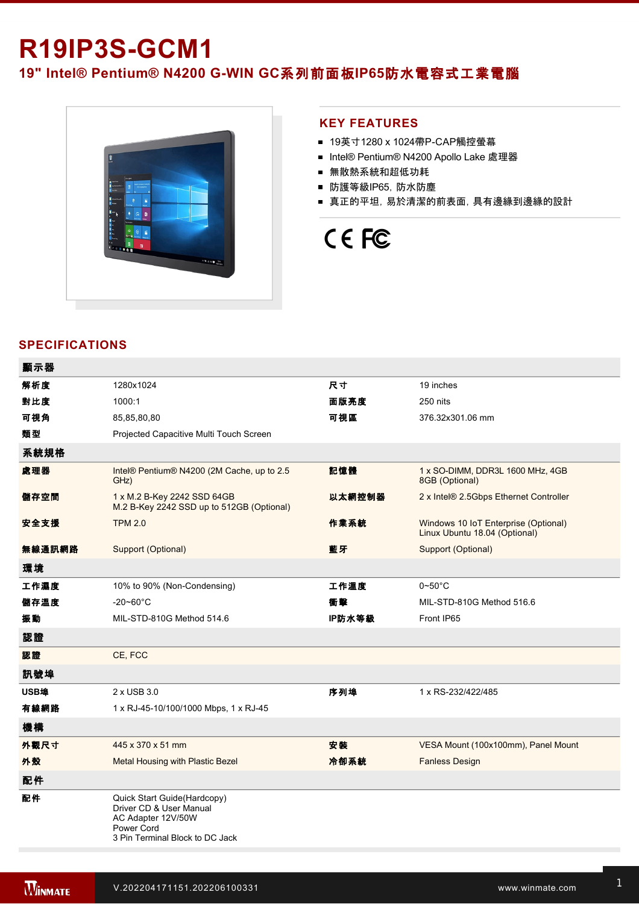# **R19IP3S-GCM1**

19" Intel® Pentium® N4200 G-WIN GC系列前面板IP65防水電容式工業電腦



### **KEY FEATURES**

- 19英寸1280 x 1024帶P-CAP觸控螢幕
- Intel® Pentium® N4200 Apollo Lake 處理器
- 無散熱系統和超低功耗
- 防護等級IP65, 防水防塵
- 真正的平坦,易於清潔的前表面,具有邊緣到邊緣的設計

# CE FC

## **SPECIFICATIONS**

| 顯示器    |                                                                                                                               |        |                                                                       |
|--------|-------------------------------------------------------------------------------------------------------------------------------|--------|-----------------------------------------------------------------------|
| 解析度    | 1280x1024                                                                                                                     | 尺寸     | 19 inches                                                             |
| 對比度    | 1000:1                                                                                                                        | 面版亮度   | 250 nits                                                              |
| 可視角    | 85,85,80,80                                                                                                                   | 可視區    | 376.32x301.06 mm                                                      |
| 類型     | Projected Capacitive Multi Touch Screen                                                                                       |        |                                                                       |
| 系統規格   |                                                                                                                               |        |                                                                       |
| 處理器    | Intel® Pentium® N4200 (2M Cache, up to 2.5<br>GHz)                                                                            | 記憶體    | 1 x SO-DIMM, DDR3L 1600 MHz, 4GB<br>8GB (Optional)                    |
| 儲存空間   | 1 x M.2 B-Key 2242 SSD 64GB<br>M.2 B-Key 2242 SSD up to 512GB (Optional)                                                      | 以太網控制器 | 2 x Intel® 2.5Gbps Ethernet Controller                                |
| 安全支援   | <b>TPM 2.0</b>                                                                                                                | 作業系統   | Windows 10 IoT Enterprise (Optional)<br>Linux Ubuntu 18.04 (Optional) |
| 無線通訊網路 | Support (Optional)                                                                                                            | 藍牙     | Support (Optional)                                                    |
| 環境     |                                                                                                                               |        |                                                                       |
| 工作濕度   | 10% to 90% (Non-Condensing)                                                                                                   | 工作溫度   | $0\neg 50^\circ C$                                                    |
| 儲存溫度   | $-20 - 60^{\circ}$ C                                                                                                          | 衝擊     | MIL-STD-810G Method 516.6                                             |
| 振動     | MIL-STD-810G Method 514.6                                                                                                     | IP防水等級 | Front IP65                                                            |
| 認證     |                                                                                                                               |        |                                                                       |
| 認證     | CE, FCC                                                                                                                       |        |                                                                       |
| 訊號埠    |                                                                                                                               |        |                                                                       |
| USB埠   | 2 x USB 3.0                                                                                                                   | 序列埠    | 1 x RS-232/422/485                                                    |
| 有線網路   | 1 x RJ-45-10/100/1000 Mbps, 1 x RJ-45                                                                                         |        |                                                                       |
| 機構     |                                                                                                                               |        |                                                                       |
| 外觀尺寸   | 445 x 370 x 51 mm                                                                                                             | 安装     | VESA Mount (100x100mm), Panel Mount                                   |
| 外殼     | Metal Housing with Plastic Bezel                                                                                              | 冷卻系統   | <b>Fanless Design</b>                                                 |
| 配件     |                                                                                                                               |        |                                                                       |
| 配件     | Quick Start Guide(Hardcopy)<br>Driver CD & User Manual<br>AC Adapter 12V/50W<br>Power Cord<br>3 Pin Terminal Block to DC Jack |        |                                                                       |

**在** 

控制

電源